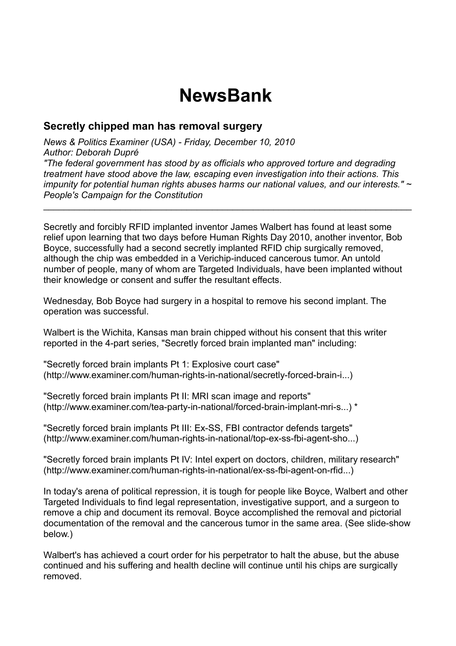## **NewsBank**

## **Secretly chipped man has removal surgery**

*News & Politics Examiner (USA) - Friday, December 10, 2010 Author: Deborah Dupré "The federal government has stood by as officials who approved torture and degrading treatment have stood above the law, escaping even investigation into their actions. This impunity for potential human rights abuses harms our national values, and our interests." ~ People's Campaign for the Constitution* 

\_\_\_\_\_\_\_\_\_\_\_\_\_\_\_\_\_\_\_\_\_\_\_\_\_\_\_\_\_\_\_\_\_\_\_\_\_\_\_\_\_\_\_\_\_\_\_\_\_\_\_\_\_\_\_\_\_\_\_\_\_\_\_\_\_\_\_\_\_\_\_\_

Secretly and forcibly RFID implanted inventor James Walbert has found at least some relief upon learning that two days before Human Rights Day 2010, another inventor, Bob Boyce, successfully had a second secretly implanted RFID chip surgically removed, although the chip was embedded in a Verichip-induced cancerous tumor. An untold number of people, many of whom are Targeted Individuals, have been implanted without their knowledge or consent and suffer the resultant effects.

Wednesday, Bob Boyce had surgery in a hospital to remove his second implant. The operation was successful.

Walbert is the Wichita, Kansas man brain chipped without his consent that this writer reported in the 4-part series, "Secretly forced brain implanted man" including:

"Secretly forced brain implants Pt 1: Explosive court case" (http://www.examiner.com/human-rights-in-national/secretly-forced-brain-i...)

"Secretly forced brain implants Pt II: MRI scan image and reports" (http://www.examiner.com/tea-party-in-national/forced-brain-implant-mri-s...) \*

"Secretly forced brain implants Pt III: Ex-SS, FBI contractor defends targets" (http://www.examiner.com/human-rights-in-national/top-ex-ss-fbi-agent-sho...)

"Secretly forced brain implants Pt IV: Intel expert on doctors, children, military research" (http://www.examiner.com/human-rights-in-national/ex-ss-fbi-agent-on-rfid...)

In today's arena of political repression, it is tough for people like Boyce, Walbert and other Targeted Individuals to find legal representation, investigative support, and a surgeon to remove a chip and document its removal. Boyce accomplished the removal and pictorial documentation of the removal and the cancerous tumor in the same area. (See slide-show below.)

Walbert's has achieved a court order for his perpetrator to halt the abuse, but the abuse continued and his suffering and health decline will continue until his chips are surgically removed.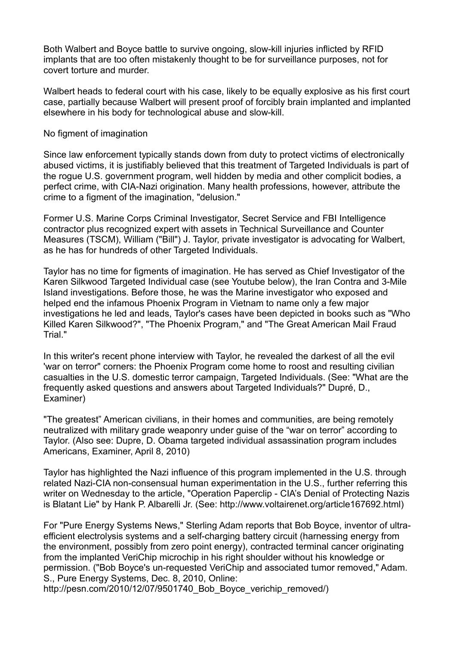Both Walbert and Boyce battle to survive ongoing, slow-kill injuries inflicted by RFID implants that are too often mistakenly thought to be for surveillance purposes, not for covert torture and murder.

Walbert heads to federal court with his case, likely to be equally explosive as his first court case, partially because Walbert will present proof of forcibly brain implanted and implanted elsewhere in his body for technological abuse and slow-kill.

No figment of imagination

Since law enforcement typically stands down from duty to protect victims of electronically abused victims, it is justifiably believed that this treatment of Targeted Individuals is part of the rogue U.S. government program, well hidden by media and other complicit bodies, a perfect crime, with CIA-Nazi origination. Many health professions, however, attribute the crime to a figment of the imagination, "delusion."

Former U.S. Marine Corps Criminal Investigator, Secret Service and FBI Intelligence contractor plus recognized expert with assets in Technical Surveillance and Counter Measures (TSCM), William ("Bill") J. Taylor, private investigator is advocating for Walbert, as he has for hundreds of other Targeted Individuals.

Taylor has no time for figments of imagination. He has served as Chief Investigator of the Karen Silkwood Targeted Individual case (see Youtube below), the Iran Contra and 3-Mile Island investigations. Before those, he was the Marine investigator who exposed and helped end the infamous Phoenix Program in Vietnam to name only a few major investigations he led and leads, Taylor's cases have been depicted in books such as "Who Killed Karen Silkwood?", "The Phoenix Program," and "The Great American Mail Fraud Trial."

In this writer's recent phone interview with Taylor, he revealed the darkest of all the evil 'war on terror" corners: the Phoenix Program come home to roost and resulting civilian casualties in the U.S. domestic terror campaign, Targeted Individuals. (See: "What are the frequently asked questions and answers about Targeted Individuals?" Dupré, D., Examiner)

"The greatest" American civilians, in their homes and communities, are being remotely neutralized with military grade weaponry under guise of the "war on terror" according to Taylor. (Also see: Dupre, D. Obama targeted individual assassination program includes Americans, Examiner, April 8, 2010)

Taylor has highlighted the Nazi influence of this program implemented in the U.S. through related Nazi-CIA non-consensual human experimentation in the U.S., further referring this writer on Wednesday to the article, "Operation Paperclip - CIA's Denial of Protecting Nazis is Blatant Lie" by Hank P. Albarelli Jr. (See: http://www.voltairenet.org/article167692.html)

For "Pure Energy Systems News," Sterling Adam reports that Bob Boyce, inventor of ultraefficient electrolysis systems and a self-charging battery circuit (harnessing energy from the environment, possibly from zero point energy), contracted terminal cancer originating from the implanted VeriChip microchip in his right shoulder without his knowledge or permission. ("Bob Boyce's un-requested VeriChip and associated tumor removed," Adam. S., Pure Energy Systems, Dec. 8, 2010, Online:

http://pesn.com/2010/12/07/9501740\_Bob\_Boyce\_verichip\_removed/)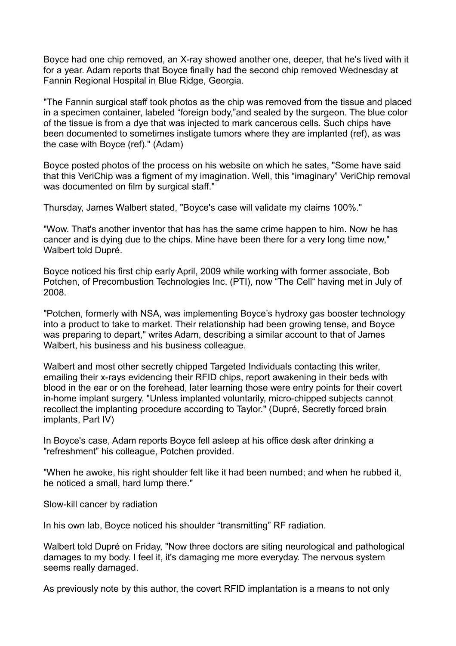Boyce had one chip removed, an X-ray showed another one, deeper, that he's lived with it for a year. Adam reports that Boyce finally had the second chip removed Wednesday at Fannin Regional Hospital in Blue Ridge, Georgia.

"The Fannin surgical staff took photos as the chip was removed from the tissue and placed in a specimen container, labeled "foreign body,"and sealed by the surgeon. The blue color of the tissue is from a dye that was injected to mark cancerous cells. Such chips have been documented to sometimes instigate tumors where they are implanted (ref), as was the case with Boyce (ref)." (Adam)

Boyce posted photos of the process on his website on which he sates, "Some have said that this VeriChip was a figment of my imagination. Well, this "imaginary" VeriChip removal was documented on film by surgical staff."

Thursday, James Walbert stated, "Boyce's case will validate my claims 100%."

"Wow. That's another inventor that has has the same crime happen to him. Now he has cancer and is dying due to the chips. Mine have been there for a very long time now," Walbert told Dupré.

Boyce noticed his first chip early April, 2009 while working with former associate, Bob Potchen, of Precombustion Technologies Inc. (PTI), now "The Cell" having met in July of 2008.

"Potchen, formerly with NSA, was implementing Boyce's hydroxy gas booster technology into a product to take to market. Their relationship had been growing tense, and Boyce was preparing to depart," writes Adam, describing a similar account to that of James Walbert, his business and his business colleague.

Walbert and most other secretly chipped Targeted Individuals contacting this writer, emailing their x-rays evidencing their RFID chips, report awakening in their beds with blood in the ear or on the forehead, later learning those were entry points for their covert in-home implant surgery. "Unless implanted voluntarily, micro-chipped subjects cannot recollect the implanting procedure according to Taylor." (Dupré, Secretly forced brain implants, Part IV)

In Boyce's case, Adam reports Boyce fell asleep at his office desk after drinking a "refreshment" his colleague, Potchen provided.

"When he awoke, his right shoulder felt like it had been numbed; and when he rubbed it, he noticed a small, hard lump there."

Slow-kill cancer by radiation

In his own lab, Boyce noticed his shoulder "transmitting" RF radiation.

Walbert told Dupré on Friday, "Now three doctors are siting neurological and pathological damages to my body. I feel it, it's damaging me more everyday. The nervous system seems really damaged.

As previously note by this author, the covert RFID implantation is a means to not only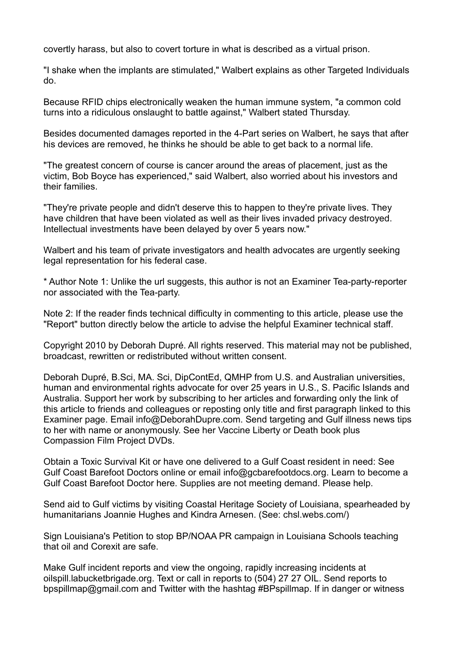covertly harass, but also to covert torture in what is described as a virtual prison.

"I shake when the implants are stimulated," Walbert explains as other Targeted Individuals do.

Because RFID chips electronically weaken the human immune system, "a common cold turns into a ridiculous onslaught to battle against," Walbert stated Thursday.

Besides documented damages reported in the 4-Part series on Walbert, he says that after his devices are removed, he thinks he should be able to get back to a normal life.

"The greatest concern of course is cancer around the areas of placement, just as the victim, Bob Boyce has experienced," said Walbert, also worried about his investors and their families.

"They're private people and didn't deserve this to happen to they're private lives. They have children that have been violated as well as their lives invaded privacy destroyed. Intellectual investments have been delayed by over 5 years now."

Walbert and his team of private investigators and health advocates are urgently seeking legal representation for his federal case.

\* Author Note 1: Unlike the url suggests, this author is not an Examiner Tea-party-reporter nor associated with the Tea-party.

Note 2: If the reader finds technical difficulty in commenting to this article, please use the "Report" button directly below the article to advise the helpful Examiner technical staff.

Copyright 2010 by Deborah Dupré. All rights reserved. This material may not be published, broadcast, rewritten or redistributed without written consent.

Deborah Dupré, B.Sci, MA. Sci, DipContEd, QMHP from U.S. and Australian universities, human and environmental rights advocate for over 25 years in U.S., S. Pacific Islands and Australia. Support her work by subscribing to her articles and forwarding only the link of this article to friends and colleagues or reposting only title and first paragraph linked to this Examiner page. Email info@DeborahDupre.com. Send targeting and Gulf illness news tips to her with name or anonymously. See her Vaccine Liberty or Death book plus Compassion Film Project DVDs.

Obtain a Toxic Survival Kit or have one delivered to a Gulf Coast resident in need: See Gulf Coast Barefoot Doctors online or email info@gcbarefootdocs.org. Learn to become a Gulf Coast Barefoot Doctor here. Supplies are not meeting demand. Please help.

Send aid to Gulf victims by visiting Coastal Heritage Society of Louisiana, spearheaded by humanitarians Joannie Hughes and Kindra Arnesen. (See: chsl.webs.com/)

Sign Louisiana's Petition to stop BP/NOAA PR campaign in Louisiana Schools teaching that oil and Corexit are safe.

Make Gulf incident reports and view the ongoing, rapidly increasing incidents at oilspill.labucketbrigade.org. Text or call in reports to (504) 27 27 OIL. Send reports to bpspillmap@gmail.com and Twitter with the hashtag #BPspillmap. If in danger or witness